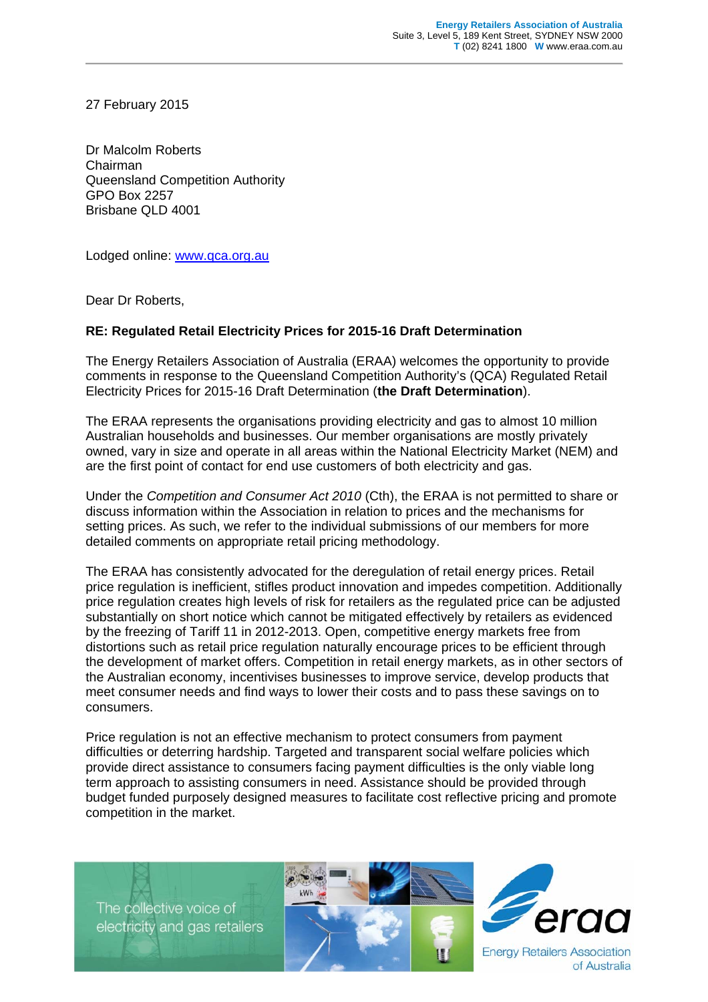27 February 2015

Dr Malcolm Roberts Chairman Queensland Competition Authority GPO Box 2257 Brisbane QLD 4001

Lodged online: www.gca.org.au

Dear Dr Roberts,

## **RE: Regulated Retail Electricity Prices for 2015-16 Draft Determination**

The Energy Retailers Association of Australia (ERAA) welcomes the opportunity to provide comments in response to the Queensland Competition Authority's (QCA) Regulated Retail Electricity Prices for 2015-16 Draft Determination (**the Draft Determination**).

The ERAA represents the organisations providing electricity and gas to almost 10 million Australian households and businesses. Our member organisations are mostly privately owned, vary in size and operate in all areas within the National Electricity Market (NEM) and are the first point of contact for end use customers of both electricity and gas.

Under the *Competition and Consumer Act 2010* (Cth), the ERAA is not permitted to share or discuss information within the Association in relation to prices and the mechanisms for setting prices. As such, we refer to the individual submissions of our members for more detailed comments on appropriate retail pricing methodology.

The ERAA has consistently advocated for the deregulation of retail energy prices. Retail price regulation is inefficient, stifles product innovation and impedes competition. Additionally price regulation creates high levels of risk for retailers as the regulated price can be adjusted substantially on short notice which cannot be mitigated effectively by retailers as evidenced by the freezing of Tariff 11 in 2012-2013. Open, competitive energy markets free from distortions such as retail price regulation naturally encourage prices to be efficient through the development of market offers. Competition in retail energy markets, as in other sectors of the Australian economy, incentivises businesses to improve service, develop products that meet consumer needs and find ways to lower their costs and to pass these savings on to consumers.

Price regulation is not an effective mechanism to protect consumers from payment difficulties or deterring hardship. Targeted and transparent social welfare policies which provide direct assistance to consumers facing payment difficulties is the only viable long term approach to assisting consumers in need. Assistance should be provided through budget funded purposely designed measures to facilitate cost reflective pricing and promote competition in the market.

The collective voice of electricity and gas retailers



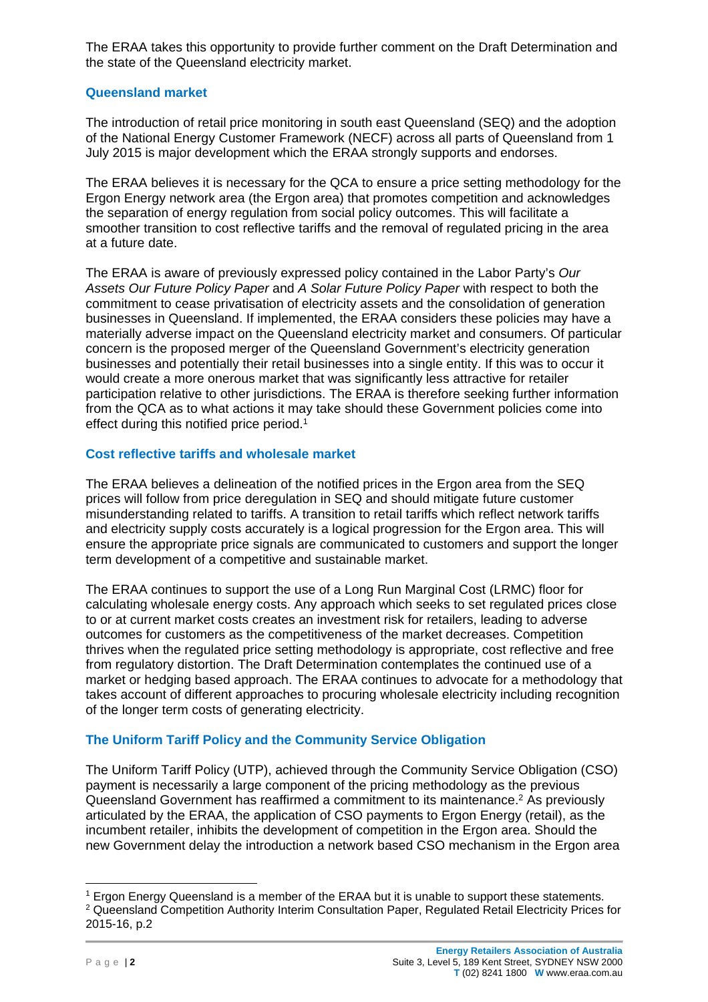The ERAA takes this opportunity to provide further comment on the Draft Determination and the state of the Queensland electricity market.

## **Queensland market**

The introduction of retail price monitoring in south east Queensland (SEQ) and the adoption of the National Energy Customer Framework (NECF) across all parts of Queensland from 1 July 2015 is major development which the ERAA strongly supports and endorses.

The ERAA believes it is necessary for the QCA to ensure a price setting methodology for the Ergon Energy network area (the Ergon area) that promotes competition and acknowledges the separation of energy regulation from social policy outcomes. This will facilitate a smoother transition to cost reflective tariffs and the removal of regulated pricing in the area at a future date.

The ERAA is aware of previously expressed policy contained in the Labor Party's *Our Assets Our Future Policy Paper* and *A Solar Future Policy Paper* with respect to both the commitment to cease privatisation of electricity assets and the consolidation of generation businesses in Queensland. If implemented, the ERAA considers these policies may have a materially adverse impact on the Queensland electricity market and consumers. Of particular concern is the proposed merger of the Queensland Government's electricity generation businesses and potentially their retail businesses into a single entity. If this was to occur it would create a more onerous market that was significantly less attractive for retailer participation relative to other jurisdictions. The ERAA is therefore seeking further information from the QCA as to what actions it may take should these Government policies come into effect during this notified price period.<sup>1</sup>

## **Cost reflective tariffs and wholesale market**

The ERAA believes a delineation of the notified prices in the Ergon area from the SEQ prices will follow from price deregulation in SEQ and should mitigate future customer misunderstanding related to tariffs. A transition to retail tariffs which reflect network tariffs and electricity supply costs accurately is a logical progression for the Ergon area. This will ensure the appropriate price signals are communicated to customers and support the longer term development of a competitive and sustainable market.

The ERAA continues to support the use of a Long Run Marginal Cost (LRMC) floor for calculating wholesale energy costs. Any approach which seeks to set regulated prices close to or at current market costs creates an investment risk for retailers, leading to adverse outcomes for customers as the competitiveness of the market decreases. Competition thrives when the regulated price setting methodology is appropriate, cost reflective and free from regulatory distortion. The Draft Determination contemplates the continued use of a market or hedging based approach. The ERAA continues to advocate for a methodology that takes account of different approaches to procuring wholesale electricity including recognition of the longer term costs of generating electricity.

## **The Uniform Tariff Policy and the Community Service Obligation**

The Uniform Tariff Policy (UTP), achieved through the Community Service Obligation (CSO) payment is necessarily a large component of the pricing methodology as the previous Queensland Government has reaffirmed a commitment to its maintenance.2 As previously articulated by the ERAA, the application of CSO payments to Ergon Energy (retail), as the incumbent retailer, inhibits the development of competition in the Ergon area. Should the new Government delay the introduction a network based CSO mechanism in the Ergon area

 $\overline{a}$ 1 Ergon Energy Queensland is a member of the ERAA but it is unable to support these statements. 2 Queensland Competition Authority Interim Consultation Paper, Regulated Retail Electricity Prices for 2015-16, p.2